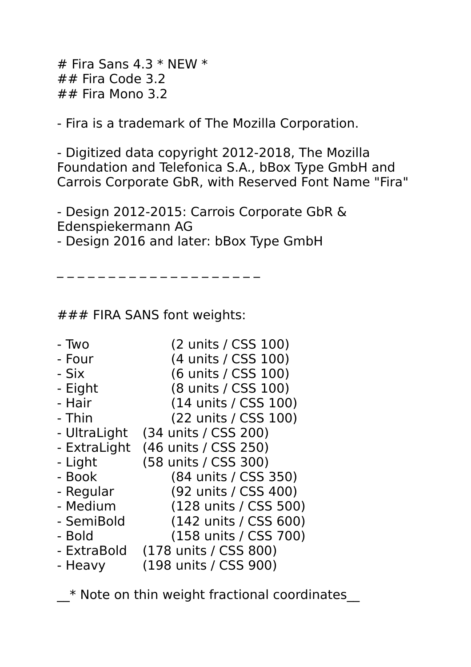$#$  Fira Sans 4.3  $*$  NEW  $*$  $\# \#$  Fira Code 3.2 ## Fira Mono 3.2

- Fira is a trademark of The Mozilla Corporation.

- Digitized data copyright 2012-2018, The Mozilla Foundation and Telefonica S.A., bBox Type GmbH and Carrois Corporate GbR, with Reserved Font Name "Fira"

- Design 2012-2015: Carrois Corporate GbR & Edenspiekermann AG

- Design 2016 and later: bBox Type GmbH

### FIRA SANS font weights:

\_ \_ \_ \_ \_ \_ \_ \_ \_ \_ \_ \_ \_ \_ \_ \_ \_ \_ \_ \_

- Two (2 units / CSS 100)
- Four (4 units / CSS 100)
- Six (6 units / CSS 100)
- Eight (8 units / CSS 100)
- Hair (14 units / CSS 100)
- Thin (22 units / CSS 100)
- UltraLight (34 units / CSS 200)
- ExtraLight (46 units / CSS 250)
- Light (58 units / CSS 300)
- Book (84 units / CSS 350)
- Regular (92 units / CSS 400)
- Medium (128 units / CSS 500)
- SemiBold (142 units / CSS 600)
- Bold (158 units / CSS 700)
- ExtraBold (178 units / CSS 800)
- Heavy (198 units / CSS 900)

\* Note on thin weight fractional coordinates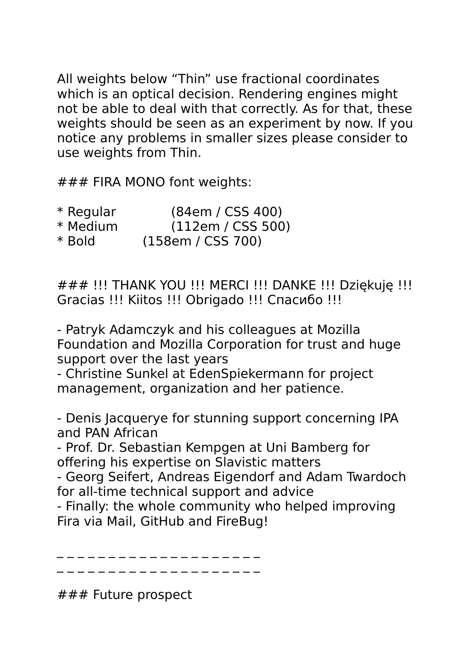All weights below "Thin" use fractional coordinates which is an optical decision. Rendering engines might not be able to deal with that correctly. As for that, these weights should be seen as an experiment by now. If you notice any problems in smaller sizes please consider to use weights from Thin.

### FIRA MONO font weights:

- \* Regular (84em / CSS 400)<br>\* Medium (112em / CSS 500
- (112em / CSS 500)
- \* Bold (158em / CSS 700)

### !!! THANK YOU !!! MERCI !!! DANKE !!! Dziękuję !!! Gracias !!! Kiitos !!! Obrigado !!! Спасибо !!!

- Patryk Adamczyk and his colleagues at Mozilla Foundation and Mozilla Corporation for trust and huge support over the last years

- Christine Sunkel at EdenSpiekermann for project management, organization and her patience.

- Denis Jacquerye for stunning support concerning IPA and PAN African

- Prof. Dr. Sebastian Kempgen at Uni Bamberg for offering his expertise on Slavistic matters

- Georg Seifert, Andreas Eigendorf and Adam Twardoch for all-time technical support and advice

- Finally: the whole community who helped improving Fira via Mail, GitHub and FireBug!

\_ \_ \_ \_ \_ \_ \_ \_ \_ \_ \_ \_ \_ \_ \_ \_ \_ \_ \_ \_ \_ \_ \_ \_ \_ \_ \_ \_ \_ \_ \_ \_ \_ \_ \_ \_ \_ \_ \_ \_

### Future prospect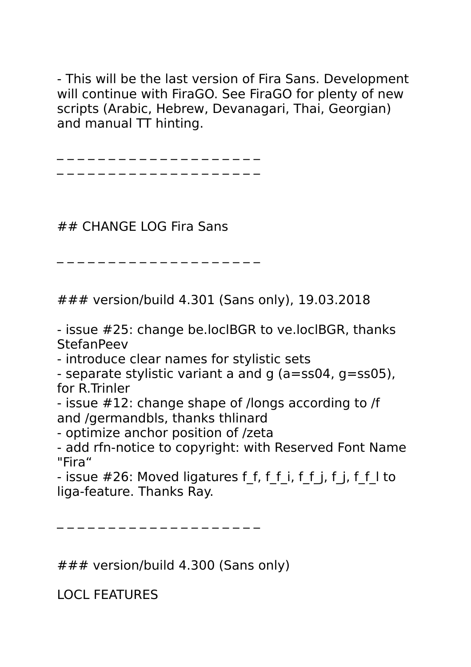- This will be the last version of Fira Sans. Development will continue with FiraGO. See FiraGO for plenty of new scripts (Arabic, Hebrew, Devanagari, Thai, Georgian) and manual TT hinting.

. \_ \_ \_ \_ \_ \_ \_ \_ \_ \_ \_ \_ \_ \_ \_

. \_ \_ \_ \_ \_ \_ \_ \_ \_ \_ \_ \_ \_ \_ \_

## CHANGE LOG Fira Sans

\_ \_ \_ \_ \_ \_ \_ \_ \_ \_ \_ \_ \_ \_ \_ \_ \_ \_ \_ \_

### version/build 4.301 (Sans only), 19.03.2018

- issue #25: change be.loclBGR to ve.loclBGR, thanks **StefanPeev** 

- introduce clear names for stylistic sets

- separate stylistic variant a and g (a=ss04, g=ss05), for R.Trinler

- issue #12: change shape of /longs according to /f and /germandbls, thanks thlinard

- optimize anchor position of /zeta

- add rfn-notice to copyright: with Reserved Font Name "Fira"

- issue #26: Moved ligatures f\_f, f\_f\_i, f\_f\_j, f\_j, f\_f\_l to liga-feature. Thanks Ray.

\_ \_ \_ \_ \_ \_ \_ \_ \_ \_ \_ \_ \_ \_ \_ \_ \_ \_ \_ \_

### version/build 4.300 (Sans only)

LOCL FEATURES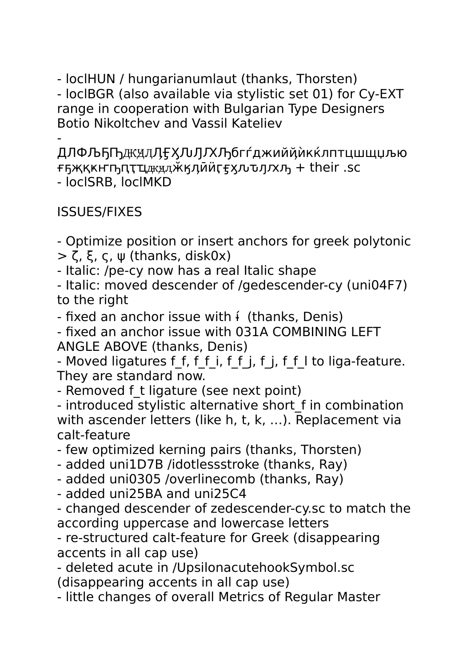- loclHUN / hungarianumlaut (thanks, Thorsten) - loclBGR (also available via stylistic set 01) for Cy-EXT range in cooperation with Bulgarian Type Designers Botio Nikoltchev and Vassil Kateliev

- ДЛФЉҔҦдкӿӆӅӺӼӅӅҠӅбгѓджийҋѝкќлптцшщџљю  $F$ ҕҗқкҥҧпҭҵжӿдӂӄӆӣӥӷӻӽљъл $K$ ҧ + their .sc - loclSRB, loclMKD

ISSUES/FIXES

- Optimize position or insert anchors for greek polytonic  $>$  ζ, ξ, ς, ψ (thanks, disk0x)

- Italic: /pe-cy now has a real Italic shape

- Italic: moved descender of /gedescender-cy (uni04F7) to the right

- fixed an anchor issue with  $\mathfrak i$  (thanks, Denis)

- fixed an anchor issue with 031A COMBINING LEFT ANGLE ABOVE (thanks, Denis)

- Moved ligatures f f, f f i, f f j, f j, f f I to liga-feature. They are standard now.

- Removed f t ligature (see next point)

- introduced stylistic alternative short f in combination with ascender letters (like h, t, k, ...). Replacement via calt-feature

- few optimized kerning pairs (thanks, Thorsten)

- added uni1D7B /idotlessstroke (thanks, Ray)

- added uni0305 /overlinecomb (thanks, Ray)

- added uni25BA and uni25C4

- changed descender of zedescender-cy.sc to match the according uppercase and lowercase letters

- re-structured calt-feature for Greek (disappearing accents in all cap use)

- deleted acute in /UpsilonacutehookSymbol.sc (disappearing accents in all cap use)

- little changes of overall Metrics of Regular Master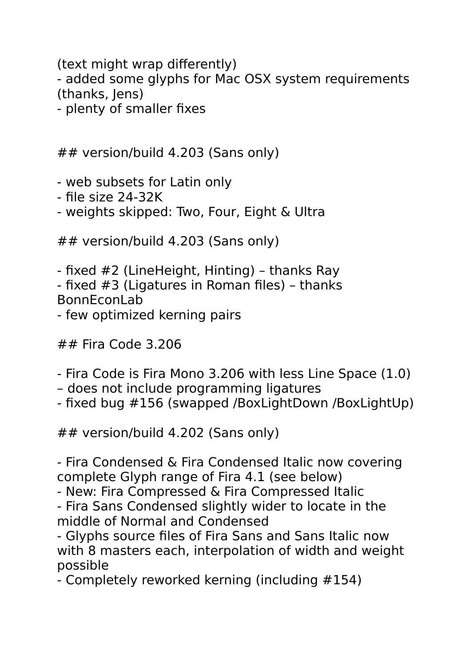(text might wrap differently) - added some glyphs for Mac OSX system requirements (thanks, Jens) - plenty of smaller fixes

## version/build 4.203 (Sans only)

- web subsets for Latin only

- file size 24-32K

- weights skipped: Two, Four, Eight & Ultra

## version/build 4.203 (Sans only)

- fixed #2 (LineHeight, Hinting) – thanks Ray - fixed #3 (Ligatures in Roman files) – thanks BonnEconLab - few optimized kerning pairs

## Fira Code 3.206

- Fira Code is Fira Mono 3.206 with less Line Space (1.0)
- does not include programming ligatures
- fixed bug #156 (swapped /BoxLightDown /BoxLightUp)

## version/build 4.202 (Sans only)

- Fira Condensed & Fira Condensed Italic now covering complete Glyph range of Fira 4.1 (see below)

- New: Fira Compressed & Fira Compressed Italic

- Fira Sans Condensed slightly wider to locate in the middle of Normal and Condensed

- Glyphs source files of Fira Sans and Sans Italic now with 8 masters each, interpolation of width and weight possible

- Completely reworked kerning (including #154)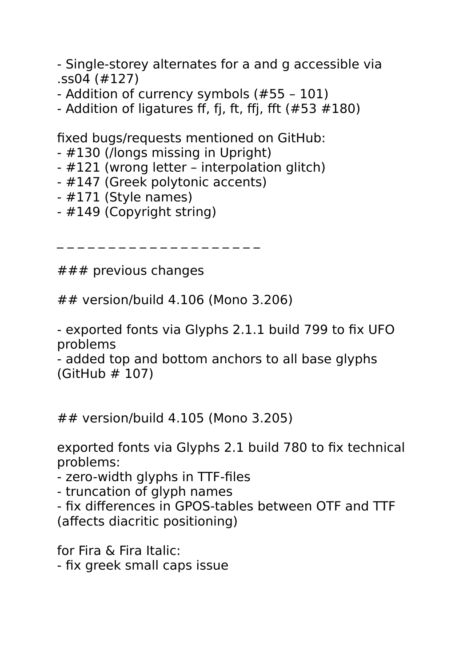- Single-storey alternates for a and g accessible via .ss04 (#127)

- Addition of currency symbols (#55 – 101)

- Addition of ligatures ff, fi, ft, ffi, fft  $(\#53 \#180)$ 

fixed bugs/requests mentioned on GitHub:

- #130 (/longs missing in Upright)
- #121 (wrong letter interpolation glitch)
- #147 (Greek polytonic accents)
- #171 (Style names)
- #149 (Copyright string)

\_ \_ \_ \_ \_ \_ \_ \_ \_ \_ \_ \_ \_ \_ \_ \_ \_ \_ \_ \_

 $# # #$  previous changes

## version/build 4.106 (Mono 3.206)

- exported fonts via Glyphs 2.1.1 build 799 to fix UFO problems

- added top and bottom anchors to all base glyphs (GitHub # 107)

## version/build 4.105 (Mono 3.205)

exported fonts via Glyphs 2.1 build 780 to fix technical problems:

- zero-width glyphs in TTF-files

- truncation of glyph names

- fix differences in GPOS-tables between OTF and TTF (affects diacritic positioning)

for Fira & Fira Italic:

- fix greek small caps issue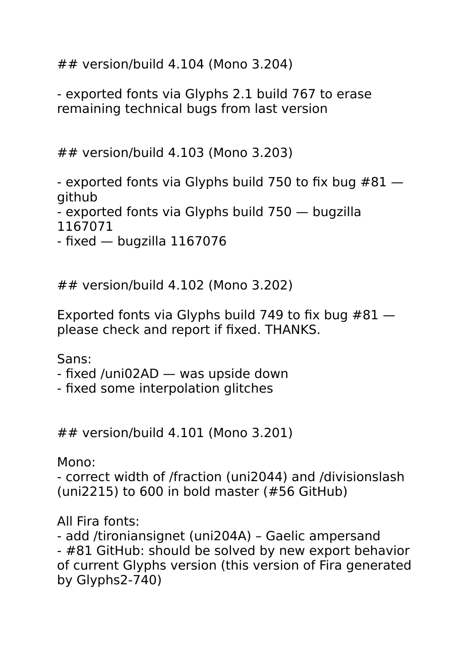## version/build 4.104 (Mono 3.204)

- exported fonts via Glyphs 2.1 build 767 to erase remaining technical bugs from last version

## version/build 4.103 (Mono 3.203)

- exported fonts via Glyphs build 750 to fix bug  $#81$ github

- exported fonts via Glyphs build 750 — bugzilla

1167071

- fixed — bugzilla 1167076

## version/build 4.102 (Mono 3.202)

Exported fonts via Glyphs build 749 to fix bug #81 please check and report if fixed. THANKS.

Sans:

- fixed /uni02AD was upside down
- fixed some interpolation glitches

## version/build 4.101 (Mono 3.201)

Mono:

- correct width of /fraction (uni2044) and /divisionslash (uni2215) to 600 in bold master (#56 GitHub)

All Fira fonts:

- add /tironiansignet (uni204A) – Gaelic ampersand - #81 GitHub: should be solved by new export behavior of current Glyphs version (this version of Fira generated by Glyphs2-740)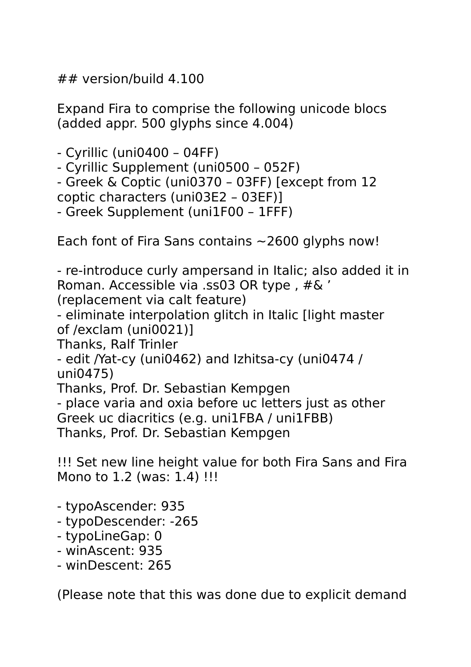## version/build 4.100

Expand Fira to comprise the following unicode blocs (added appr. 500 glyphs since 4.004)

- Cyrillic (uni0400 – 04FF)

- Cyrillic Supplement (uni0500 052F)
- Greek & Coptic (uni0370 03FF) [except from 12

coptic characters (uni03E2 – 03EF)]

- Greek Supplement (uni1F00 – 1FFF)

Each font of Fira Sans contains  $\sim$  2600 glyphs now!

- re-introduce curly ampersand in Italic; also added it in Roman. Accessible via .ss03 OR type, #& ' (replacement via calt feature)

- eliminate interpolation glitch in Italic [light master

of /exclam (uni0021)]

Thanks, Ralf Trinler

- edit /Yat-cy (uni0462) and Izhitsa-cy (uni0474 / uni0475)

Thanks, Prof. Dr. Sebastian Kempgen

- place varia and oxia before uc letters just as other Greek uc diacritics (e.g. uni1FBA / uni1FBB) Thanks, Prof. Dr. Sebastian Kempgen

!!! Set new line height value for both Fira Sans and Fira Mono to 1.2 (was: 1.4) !!!

- typoAscender: 935
- typoDescender: -265
- typoLineGap: 0
- winAscent: 935
- winDescent: 265

(Please note that this was done due to explicit demand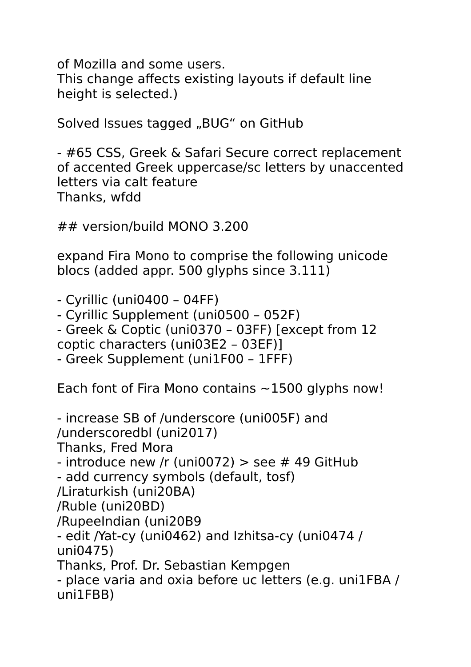of Mozilla and some users.

This change affects existing layouts if default line height is selected.)

Solved Issues tagged "BUG" on GitHub

- #65 CSS, Greek & Safari Secure correct replacement of accented Greek uppercase/sc letters by unaccented letters via calt feature Thanks, wfdd

## version/build MONO 3.200

expand Fira Mono to comprise the following unicode blocs (added appr. 500 glyphs since 3.111)

- Cyrillic (uni0400 – 04FF) - Cyrillic Supplement (uni0500 – 052F) - Greek & Coptic (uni0370 – 03FF) [except from 12 coptic characters (uni03E2 – 03EF)] - Greek Supplement (uni1F00 – 1FFF)

Each font of Fira Mono contains  $\sim$  1500 glyphs now!

- increase SB of /underscore (uni005F) and /underscoredbl (uni2017) Thanks, Fred Mora - introduce new /r (uni0072)  $>$  see # 49 GitHub - add currency symbols (default, tosf) /Liraturkish (uni20BA) /Ruble (uni20BD) /RupeeIndian (uni20B9 - edit /Yat-cy (uni0462) and Izhitsa-cy (uni0474 / uni0475) Thanks, Prof. Dr. Sebastian Kempgen - place varia and oxia before uc letters (e.g. uni1FBA / uni1FBB)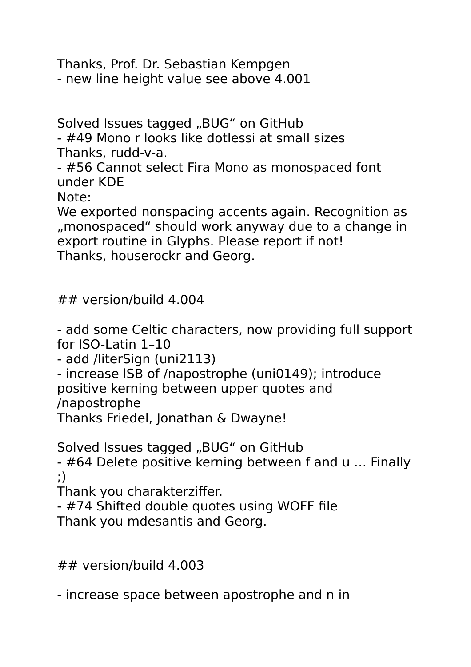Thanks, Prof. Dr. Sebastian Kempgen - new line height value see above 4.001

Solved Issues tagged "BUG" on GitHub

- #49 Mono r looks like dotlessi at small sizes Thanks, rudd-v-a.

- #56 Cannot select Fira Mono as monospaced font under KDE

Note:

We exported nonspacing accents again. Recognition as "monospaced" should work anyway due to a change in export routine in Glyphs. Please report if not! Thanks, houserockr and Georg.

## version/build 4.004

- add some Celtic characters, now providing full support for ISO-Latin 1–10

- add /literSign (uni2113)

- increase lSB of /napostrophe (uni0149); introduce positive kerning between upper quotes and /napostrophe

Thanks Friedel, Jonathan & Dwayne!

Solved Issues tagged "BUG" on GitHub

- #64 Delete positive kerning between f and u … Finally ;)

Thank you charakterziffer.

- #74 Shifted double quotes using WOFF file Thank you mdesantis and Georg.

 $##$  version/build 4.003

- increase space between apostrophe and n in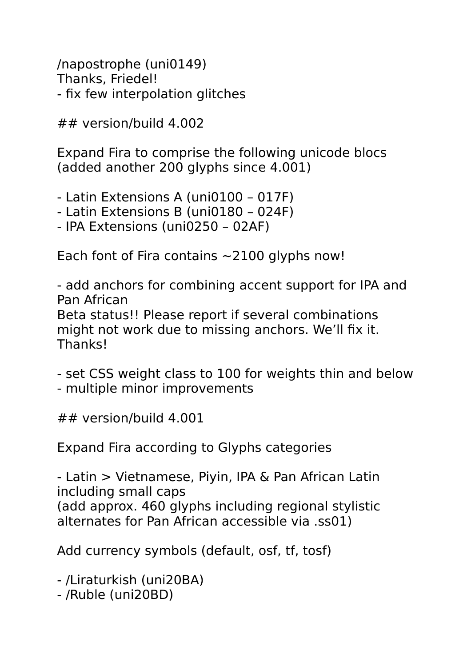/napostrophe (uni0149) Thanks, Friedel! - fix few interpolation glitches

## version/build 4.002

Expand Fira to comprise the following unicode blocs (added another 200 glyphs since 4.001)

- Latin Extensions A (uni0100 – 017F)

- Latin Extensions B (uni0180 024F)
- IPA Extensions (uni0250 02AF)

Each font of Fira contains  $\sim$  2100 glyphs now!

- add anchors for combining accent support for IPA and Pan African Beta status!! Please report if several combinations might not work due to missing anchors. We'll fix it. Thanks!

- set CSS weight class to 100 for weights thin and below - multiple minor improvements

 $\#$  *wersion*/build 4.001

Expand Fira according to Glyphs categories

- Latin > Vietnamese, Piyin, IPA & Pan African Latin including small caps (add approx. 460 glyphs including regional stylistic alternates for Pan African accessible via .ss01)

Add currency symbols (default, osf, tf, tosf)

- /Liraturkish (uni20BA)

- /Ruble (uni20BD)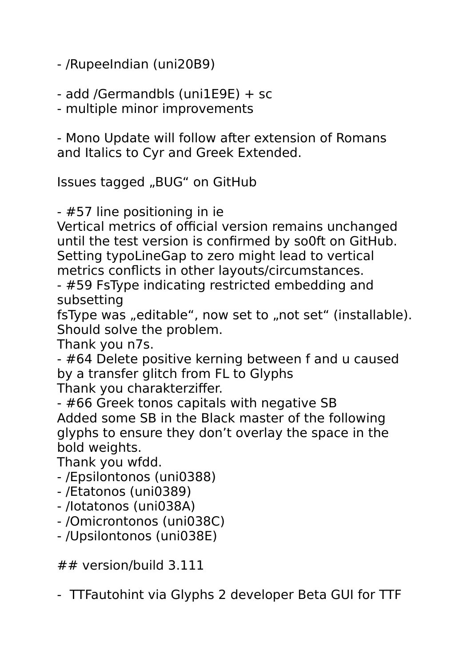- /RupeeIndian (uni20B9)

- add /Germandbls (uni1E9E) + sc

- multiple minor improvements

- Mono Update will follow after extension of Romans and Italics to Cyr and Greek Extended.

Issues tagged "BUG" on GitHub

- #57 line positioning in ie

Vertical metrics of official version remains unchanged until the test version is confirmed by so0ft on GitHub. Setting typoLineGap to zero might lead to vertical metrics conflicts in other layouts/circumstances.

- #59 FsType indicating restricted embedding and subsetting

fsType was "editable", now set to "not set" (installable). Should solve the problem.

Thank you n7s.

- #64 Delete positive kerning between f and u caused by a transfer glitch from FL to Glyphs

Thank you charakterziffer.

- #66 Greek tonos capitals with negative SB Added some SB in the Black master of the following glyphs to ensure they don't overlay the space in the bold weights.

Thank you wfdd.

- /Epsilontonos (uni0388)
- /Etatonos (uni0389)
- /Iotatonos (uni038A)
- /Omicrontonos (uni038C)
- /Upsilontonos (uni038E)

## version/build 3.111

- TTFautohint via Glyphs 2 developer Beta GUI for TTF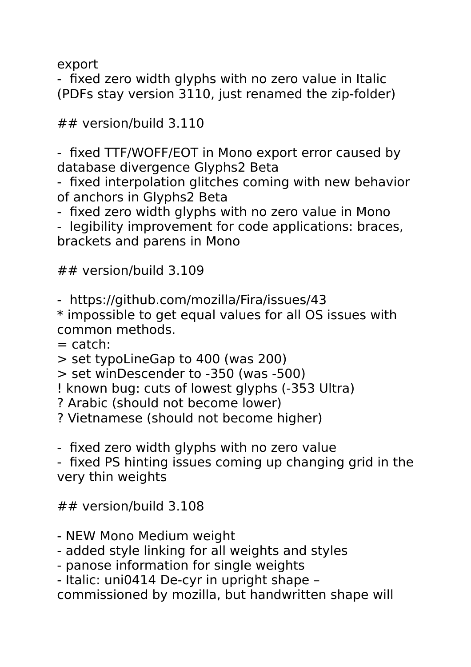export

- fixed zero width glyphs with no zero value in Italic (PDFs stay version 3110, just renamed the zip-folder)

```
## version/build 3.110
```
- fixed TTF/WOFF/EOT in Mono export error caused by database divergence Glyphs2 Beta

- fixed interpolation glitches coming with new behavior of anchors in Glyphs2 Beta

- fixed zero width glyphs with no zero value in Mono

- legibility improvement for code applications: braces, brackets and parens in Mono

## version/build 3.109

- https://github.com/mozilla/Fira/issues/43

\* impossible to get equal values for all OS issues with common methods.

 $=$  catch:

> set typoLineGap to 400 (was 200)

> set winDescender to -350 (was -500)

! known bug: cuts of lowest glyphs (-353 Ultra)

? Arabic (should not become lower)

? Vietnamese (should not become higher)

- fixed zero width glyphs with no zero value

- fixed PS hinting issues coming up changing grid in the very thin weights

## version/build 3.108

- NEW Mono Medium weight
- added style linking for all weights and styles
- panose information for single weights

- Italic: uni0414 De-cyr in upright shape –

commissioned by mozilla, but handwritten shape will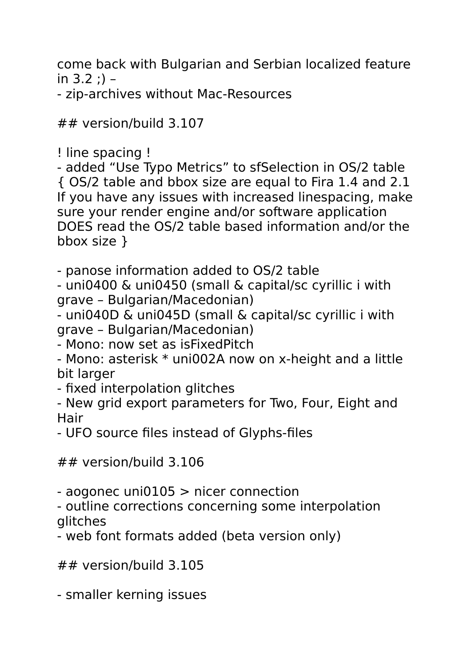come back with Bulgarian and Serbian localized feature in  $3.2$  :) –

- zip-archives without Mac-Resources

## version/build 3.107

! line spacing !

- added "Use Typo Metrics" to sfSelection in OS/2 table { OS/2 table and bbox size are equal to Fira 1.4 and 2.1 If you have any issues with increased linespacing, make sure your render engine and/or software application DOES read the OS/2 table based information and/or the bbox size }

- panose information added to OS/2 table

- uni0400 & uni0450 (small & capital/sc cyrillic i with grave – Bulgarian/Macedonian)

- uni040D & uni045D (small & capital/sc cyrillic i with grave – Bulgarian/Macedonian)

- Mono: now set as isFixedPitch

- Mono: asterisk \* uni002A now on x-height and a little bit larger

- fixed interpolation glitches

- New grid export parameters for Two, Four, Eight and **Hair** 

- UFO source files instead of Glyphs-files

## version/build 3.106

- aogonec uni0105 > nicer connection

- outline corrections concerning some interpolation glitches

- web font formats added (beta version only)

## version/build 3.105

- smaller kerning issues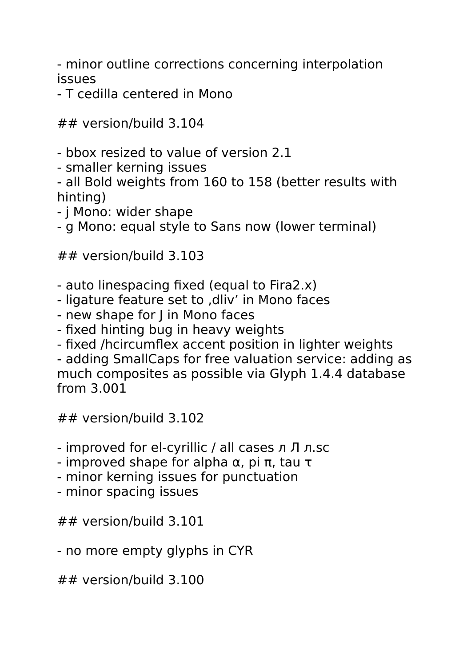- minor outline corrections concerning interpolation issues

## - T cedilla centered in Mono

## version/build 3.104

- bbox resized to value of version 2.1
- smaller kerning issues

- all Bold weights from 160 to 158 (better results with hinting)

- j Mono: wider shape
- g Mono: equal style to Sans now (lower terminal)

## version/build 3.103

- auto linespacing fixed (equal to Fira2.x)
- ligature feature set to .dliv' in Mono faces
- new shape for J in Mono faces
- fixed hinting bug in heavy weights
- fixed /hcircumflex accent position in lighter weights

- adding SmallCaps for free valuation service: adding as much composites as possible via Glyph 1.4.4 database from 3.001

## version/build 3.102

- improved for el-cyrillic / all cases л Л л.sc
- improved shape for alpha α, pi π, tau τ
- minor kerning issues for punctuation
- minor spacing issues

## version/build 3.101

- no more empty glyphs in CYR

## version/build 3.100